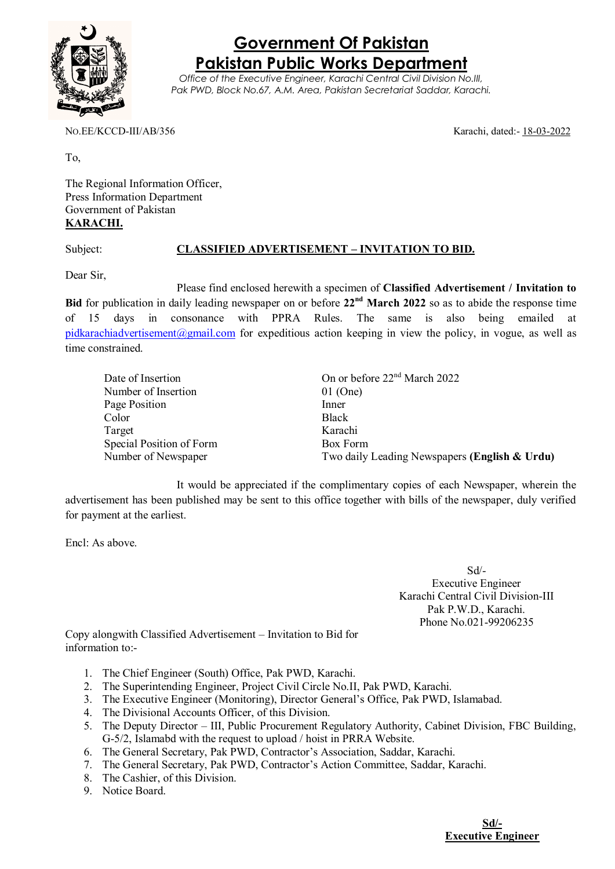

## **Government Of Pakistan Pakistan Public Works Department**

*Office of the Executive Engineer, Karachi Central Civil Division No.III, Pak PWD, Block No.67, A.M. Area, Pakistan Secretariat Saddar, Karachi.*

NO.EE/KCCD-III/AB/356 Karachi, dated:- 18-03-2022

To,

The Regional Information Officer, Press Information Department Government of Pakistan **KARACHI.**

## Subject: **CLASSIFIED ADVERTISEMENT – INVITATION TO BID.**

Dear Sir,

Please find enclosed herewith a specimen of **Classified Advertisement / Invitation to Bid** for publication in daily leading newspaper on or before **22nd March 2022** so as to abide the response time of 15 days in consonance with PPRA Rules. The same is also being emailed at [pidkarachiadvertisement@gmail.com](mailto:pidkarachiadvertisement@gmail.com) for expeditious action keeping in view the policy, in vogue, as well as time constrained.

| Date of Insertion        | On or before 22 <sup>nd</sup> March 2022      |
|--------------------------|-----------------------------------------------|
| Number of Insertion      | $01$ (One)                                    |
| Page Position            | Inner                                         |
| Color                    | <b>Black</b>                                  |
| Target                   | Karachi                                       |
| Special Position of Form | Box Form                                      |
| Number of Newspaper      | Two daily Leading Newspapers (English & Urdu) |

It would be appreciated if the complimentary copies of each Newspaper, wherein the advertisement has been published may be sent to this office together with bills of the newspaper, duly verified for payment at the earliest.

Encl: As above.

Sd/- Executive Engineer Karachi Central Civil Division-III Pak P.W.D., Karachi. Phone No.021-99206235

Copy alongwith Classified Advertisement – Invitation to Bid for information to:-

- 1. The Chief Engineer (South) Office, Pak PWD, Karachi.
- 2. The Superintending Engineer, Project Civil Circle No.II, Pak PWD, Karachi.
- 3. The Executive Engineer (Monitoring), Director General's Office, Pak PWD, Islamabad.
- 4. The Divisional Accounts Officer, of this Division.
- 5. The Deputy Director III, Public Procurement Regulatory Authority, Cabinet Division, FBC Building, G-5/2, Islamabd with the request to upload / hoist in PRRA Website.
- 6. The General Secretary, Pak PWD, Contractor's Association, Saddar, Karachi.
- 7. The General Secretary, Pak PWD, Contractor's Action Committee, Saddar, Karachi.
- 8. The Cashier, of this Division.
- 9. Notice Board.

**Sd/- Executive Engineer**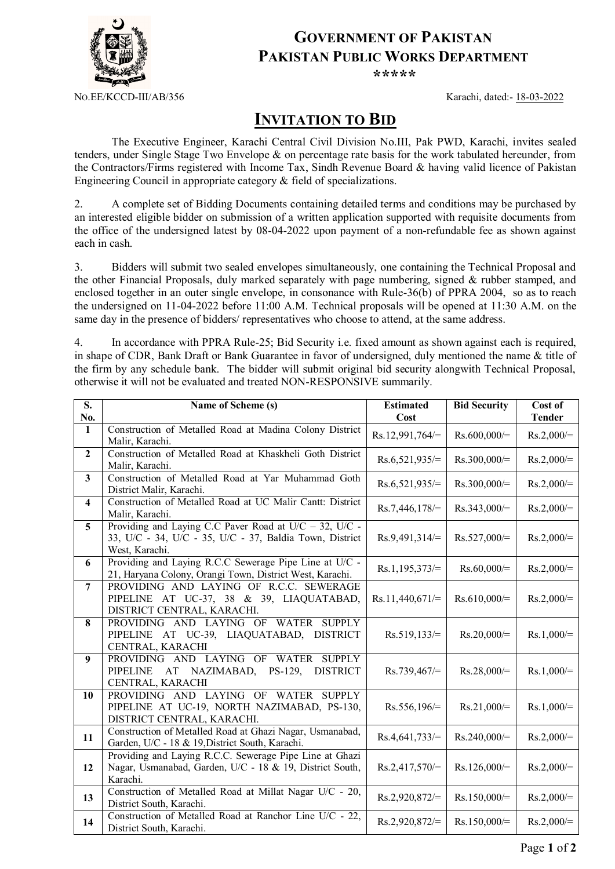

## **GOVERNMENT OF PAKISTAN PAKISTAN PUBLIC WORKS DEPARTMENT**

*\*\*\*\*\**

NO.EE/KCCD-III/AB/356 Karachi, dated:- 18-03-2022

## **INVITATION TO BID**

The Executive Engineer, Karachi Central Civil Division No.III, Pak PWD, Karachi, invites sealed tenders, under Single Stage Two Envelope & on percentage rate basis for the work tabulated hereunder, from the Contractors/Firms registered with Income Tax, Sindh Revenue Board & having valid licence of Pakistan Engineering Council in appropriate category & field of specializations.

2. A complete set of Bidding Documents containing detailed terms and conditions may be purchased by an interested eligible bidder on submission of a written application supported with requisite documents from the office of the undersigned latest by 08-04-2022 upon payment of a non-refundable fee as shown against each in cash.

3. Bidders will submit two sealed envelopes simultaneously, one containing the Technical Proposal and the other Financial Proposals, duly marked separately with page numbering, signed & rubber stamped, and enclosed together in an outer single envelope, in consonance with Rule-36(b) of PPRA 2004, so as to reach the undersigned on 11-04-2022 before 11:00 A.M. Technical proposals will be opened at 11:30 A.M. on the same day in the presence of bidders/ representatives who choose to attend, at the same address.

4. In accordance with PPRA Rule-25; Bid Security i.e. fixed amount as shown against each is required, in shape of CDR, Bank Draft or Bank Guarantee in favor of undersigned, duly mentioned the name & title of the firm by any schedule bank. The bidder will submit original bid security alongwith Technical Proposal, otherwise it will not be evaluated and treated NON-RESPONSIVE summarily.

| S.                      | Name of Scheme (s)                                             | <b>Estimated</b>  | <b>Bid Security</b> | Cost of       |
|-------------------------|----------------------------------------------------------------|-------------------|---------------------|---------------|
| No.                     |                                                                | Cost              |                     | <b>Tender</b> |
| $\mathbf{1}$            | Construction of Metalled Road at Madina Colony District        | $Rs.12,991,764/=$ | $Rs.600,000/=$      | $Rs.2,000/=$  |
|                         | Malir, Karachi.                                                |                   |                     |               |
| $\overline{2}$          | Construction of Metalled Road at Khaskheli Goth District       | $Rs.6,521,935/=$  | $Rs.300,000/=$      | $Rs.2,000/=$  |
|                         | Malir, Karachi.                                                |                   |                     |               |
| 3                       | Construction of Metalled Road at Yar Muhammad Goth             | $Rs.6,521,935/=$  | $Rs.300,000/=$      | $Rs.2,000/=$  |
|                         | District Malir, Karachi.                                       |                   |                     |               |
| $\overline{\mathbf{4}}$ | Construction of Metalled Road at UC Malir Cantt: District      | $Rs.7,446,178/=$  | $Rs.343,000/=$      | $Rs.2,000/=$  |
|                         | Malir, Karachi.                                                |                   |                     |               |
| 5                       | Providing and Laying C.C Paver Road at $U/C - 32$ , $U/C - 32$ |                   |                     |               |
|                         | 33, U/C - 34, U/C - 35, U/C - 37, Baldia Town, District        | $Rs.9,491,314/=$  | $Rs.527,000/=$      | $Rs.2,000/=$  |
|                         | West, Karachi.                                                 |                   |                     |               |
| 6                       | Providing and Laying R.C.C Sewerage Pipe Line at U/C -         | $Rs.1,195,373/=$  | $Rs.60,000/=$       | $Rs.2,000/=$  |
|                         | 21, Haryana Colony, Orangi Town, District West, Karachi.       |                   |                     |               |
| $\overline{7}$          | PROVIDING AND LAYING OF R.C.C. SEWERAGE                        |                   |                     |               |
|                         | PIPELINE AT UC-37, 38 & 39, LIAQUATABAD,                       | $Rs.11,440,671/=$ | $Rs.610,000/=$      | $Rs.2,000/=$  |
|                         | DISTRICT CENTRAL, KARACHI.                                     |                   |                     |               |
| 8                       | PROVIDING AND LAYING OF WATER SUPPLY                           |                   |                     |               |
|                         | PIPELINE AT UC-39, LIAQUATABAD, DISTRICT                       | $Rs.519,133/=$    | $Rs.20,000/=$       | $Rs.1,000/=$  |
|                         | CENTRAL, KARACHI                                               |                   |                     |               |
| 9                       | PROVIDING AND LAYING OF<br>WATER<br><b>SUPPLY</b>              |                   |                     |               |
|                         | <b>DISTRICT</b><br><b>PIPELINE</b><br>AT NAZIMABAD,<br>PS-129, | $Rs.739,467 =$    | $Rs.28,000/=$       | $Rs.1,000/=$  |
|                         | CENTRAL, KARACHI                                               |                   |                     |               |
| 10                      | PROVIDING AND LAYING OF WATER SUPPLY                           |                   |                     |               |
|                         | PIPELINE AT UC-19, NORTH NAZIMABAD, PS-130,                    | $Rs.556,196/=$    | $Rs.21,000/=$       | $Rs.1,000/=$  |
|                         | DISTRICT CENTRAL, KARACHI.                                     |                   |                     |               |
|                         | Construction of Metalled Road at Ghazi Nagar, Usmanabad,       |                   |                     |               |
| 11                      | Garden, U/C - 18 & 19, District South, Karachi.                | $Rs.4,641,733/=$  | $Rs.240,000/=$      | $Rs.2,000/=$  |
|                         | Providing and Laying R.C.C. Sewerage Pipe Line at Ghazi        |                   |                     |               |
| 12                      | Nagar, Usmanabad, Garden, U/C - 18 & 19, District South,       | $Rs.2,417,570/=$  | $Rs.126,000/=$      | $Rs.2,000/=$  |
|                         | Karachi.                                                       |                   |                     |               |
|                         | Construction of Metalled Road at Millat Nagar U/C - 20,        |                   |                     |               |
| 13                      | District South, Karachi.                                       | $Rs.2,920,872/=$  | $Rs.150,000/=$      | $Rs.2,000/=$  |
|                         | Construction of Metalled Road at Ranchor Line U/C - 22,        |                   |                     |               |
| 14                      | District South, Karachi.                                       | $Rs.2,920,872/=$  | $Rs.150,000/=$      | $Rs.2,000/=$  |